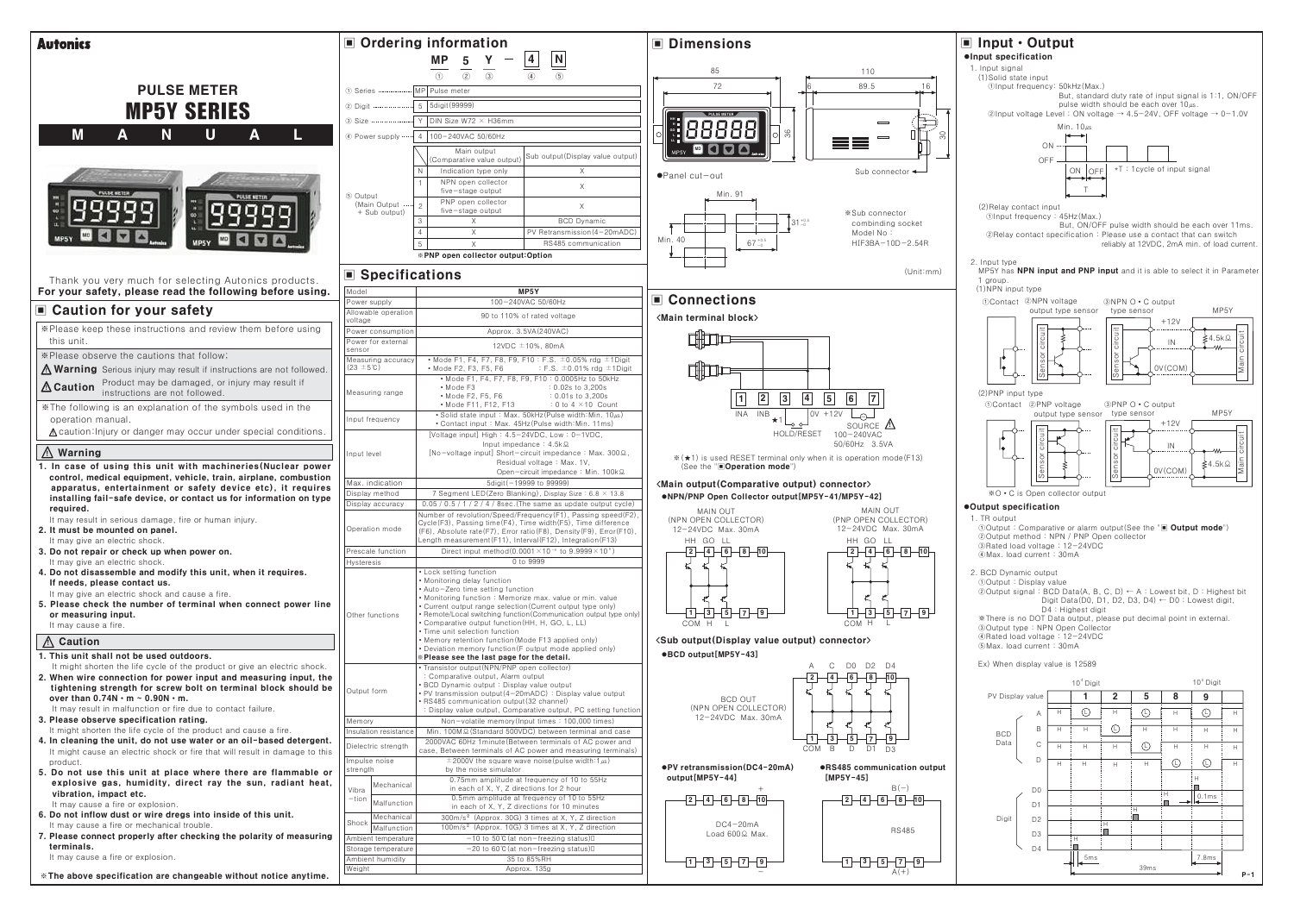| <b>Autonics</b>                                                                                                                               |                                             | ■ Ordering information                                                                                                            | Dimensions                                                                     |  |
|-----------------------------------------------------------------------------------------------------------------------------------------------|---------------------------------------------|-----------------------------------------------------------------------------------------------------------------------------------|--------------------------------------------------------------------------------|--|
|                                                                                                                                               |                                             | 4<br><b>MP</b><br>5                                                                                                               |                                                                                |  |
|                                                                                                                                               |                                             | $\underline{\mathsf{N}}$<br>(2)<br>$\circled{3}$<br>(1)<br>$\left( \widehat{4}\right)$<br>$\circ$                                 | 85<br>110                                                                      |  |
| <b>PULSE METER</b>                                                                                                                            | 1 Series                                    | MP Pulse meter                                                                                                                    | 72<br>89.5<br>16                                                               |  |
|                                                                                                                                               | 2 Digit                                     | 5   5digit (99999)                                                                                                                |                                                                                |  |
| <b>MP5Y SERIES</b>                                                                                                                            | 3 Size                                      | Y DIN Size W72 $\times$ H36mm                                                                                                     | $\equiv$                                                                       |  |
| <b>M</b><br>N.<br>$\mathbf U$<br>Α<br>А                                                                                                       | 4 Power supply                              | 4   100-240VAC 50/60Hz                                                                                                            | 36<br>δŚ                                                                       |  |
|                                                                                                                                               |                                             | Main output                                                                                                                       | $\equiv$<br>$\equiv$                                                           |  |
|                                                                                                                                               |                                             | Sub output (Display value output)<br>(Comparative value output                                                                    |                                                                                |  |
|                                                                                                                                               |                                             | Indication type only<br>Χ<br>NPN open collector                                                                                   | Sub connector $\leftarrow$<br>●Panel cut-out                                   |  |
|                                                                                                                                               | 5 Output                                    | $\times$<br>five-stage output                                                                                                     | Min. 91                                                                        |  |
|                                                                                                                                               | (Main Output<br>+ Sub output)               | PNP open collector<br>$\times$<br>$\overline{\phantom{a}}$<br>five-stage output                                                   | *Sub connector                                                                 |  |
|                                                                                                                                               |                                             | $\times$<br><b>BCD Dynamic</b><br>3                                                                                               | $\sqrt{31}^{+0.5}_{-0}$<br>combinding socket                                   |  |
|                                                                                                                                               |                                             | PV Retransmission (4-20mADC)<br>$\times$<br>RS485 communication<br>$\times$<br>5                                                  | Model No:<br>Min. 40<br>$67^{+0.5}_{-0}$<br>HIF3BA-10D-2.54R                   |  |
|                                                                                                                                               |                                             | *PNP open collector output:Option                                                                                                 |                                                                                |  |
|                                                                                                                                               | ■ Specifications                            |                                                                                                                                   | (Unit:mm)                                                                      |  |
| Thank you very much for selecting Autonics products.<br>For your safety, please read the following before using.                              | Model                                       | MP5Y                                                                                                                              |                                                                                |  |
|                                                                                                                                               | Power supply                                | 100-240VAC 50/60Hz                                                                                                                | <b>■ Connections</b>                                                           |  |
| ■ Caution for your safety                                                                                                                     | Allowable operation<br>voltage              | 90 to 110% of rated voltage                                                                                                       | <main block="" terminal=""></main>                                             |  |
| *Please keep these instructions and review them before using                                                                                  | Power consumption                           | Approx. 3.5VA(240VAC)                                                                                                             |                                                                                |  |
| this unit.                                                                                                                                    | Power for external<br>sensor                | 12VDC ±10%, 80mA                                                                                                                  |                                                                                |  |
| *Please observe the cautions that follow;<br><b>A Warning</b> Serious injury may result if instructions are not followed.                     | Measuring accuracy<br>$(23 \pm 5^{\circ}C)$ | • Mode F1, F4, F7, F8, F9, F10: F.S. $\pm$ 0.05% rdg $\pm$ 1Digit<br>: F.S. $\pm$ 0.01% rdg $\pm$ 1Digit<br>• Mode F2, F3, F5, F6 |                                                                                |  |
|                                                                                                                                               |                                             | • Mode F1, F4, F7, F8, F9, F10: 0.0005Hz to 50kHz                                                                                 |                                                                                |  |
| Product may be damaged, or injury may result if<br>instructions are not followed.<br>$\triangle$ Caution                                      | Measuring range                             | • Mode F3<br>: 0.02s to 3,200s<br>• Mode F2, F5, F6<br>: 0.01s to 3,200s                                                          | $\overline{4}$<br>$\sqrt{5}$<br>6<br> 2 <br>$\vert 3 \vert$<br> 7 <br>11       |  |
| *The following is an explanation of the symbols used in the                                                                                   |                                             | • Mode F11, F12, F13<br>: 0 to 4 $\times$ 10 Count<br>• Solid state input: Max. 50kHz(Pulse width: Min. $10 \mu s$ )              | <b>INA</b><br>INB<br>$ 0V + 12V$                                               |  |
| operation manual.                                                                                                                             | Input frequency                             | • Contact input: Max. 45Hz (Pulse width: Min. 11ms)                                                                               | SOURCE A                                                                       |  |
| △ caution: Injury or danger may occur under special conditions.                                                                               |                                             | [Voltage input] High: 4.5-24VDC, Low: 0-1VDC,<br>Input impedance: $4.5k\Omega$                                                    | HOLD/RESET<br>100-240VAC<br>50/60Hz 3.5VA                                      |  |
| $\Lambda$ Warning                                                                                                                             | Input level                                 | [No-voltage input] Short-circuit impedance: Max. 300 Ω,                                                                           | ※(★1) is used RESET terminal only when it is operation mode(F13)               |  |
| 1. In case of using this unit with machineries (Nuclear power<br>control, medical equipment, vehicle, train, airplane, combustion             |                                             | Residual voltage: Max. 1V,<br>Open-circuit impedance: Min. 100kΩ                                                                  | (See the "Operation mode")                                                     |  |
| apparatus, entertainment or safety device etc), it requires                                                                                   | Max. indication                             | 5digit (-19999 to 99999)<br>7 Segment LED(Zero Blanking), Display Size: $6.8 \times 13.8$                                         | <main (comparative="" connector="" output="" output)=""></main>                |  |
| installing fail-safe device, or contact us for information on type                                                                            | Display method<br>Display accuracy          | $0.05 / 0.5 / 1 / 2 / 4 / 8$ sec. (The same as update output cycle)                                                               | ●NPN/PNP Open Collector output [MP5Y-41/MP5Y-42]                               |  |
| required.<br>It may result in serious damage, fire or human injury.                                                                           |                                             | Number of revolution/Speed/Frequency(F1), Passing speed(F2),<br>Cycle (F3), Passing time (F4), Time width (F5), Time difference   | <b>MAIN OUT</b><br>MAIN OUT<br>(PNP OPEN COLLECTOR)<br>(NPN OPEN COLLECTOR)    |  |
| 2. It must be mounted on panel.                                                                                                               | Operation mode                              | (F6), Absolute rate(F7), Error ratio(F8), Density(F9), Error(F10),<br>Length measurement (F11), Interval (F12), Integration (F13) | 12-24VDC Max. 30mA<br>12-24VDC Max. 30mA                                       |  |
| It may give an electric shock.<br>3. Do not repair or check up when power on.                                                                 | Prescale function                           | Direct input method $(0.0001 \times 10^{-9}$ to $9.9999 \times 10^{-9}$ )                                                         | HH GO LL<br>HH GO LL<br>$-2$ $-4$ $-6$ $-8$ $-10$<br>$2 - 4 - 6 - 8 - 10$      |  |
| It may give an electric shock.                                                                                                                | <b>Hysteresis</b>                           | 0 to 9999                                                                                                                         |                                                                                |  |
| 4. Do not disassemble and modify this unit, when it requires.<br>If needs, please contact us.                                                 |                                             | • Lock setting function<br>· Monitoring delay function                                                                            |                                                                                |  |
| It may give an electric shock and cause a fire.                                                                                               |                                             | • Auto-Zero time setting function<br>• Monitoring function: Memorize max, value or min, value                                     |                                                                                |  |
| 5. Please check the number of terminal when connect power line<br>or measuring input.                                                         | Other functions                             | • Current output range selection (Current output type only)<br>• Remote/Local switching function (Communication output type only) | $1 + 3 + 5 - 7 + 9$<br>$1 - 3 - 5 - 7 - 9$                                     |  |
| It may cause a fire.                                                                                                                          |                                             | • Comparative output function (HH, H, GO, L, LL)<br>• Time unit selection function                                                | COM H<br>COM H<br>-L.                                                          |  |
| △ Caution                                                                                                                                     |                                             | • Memory retention function (Mode F13 applied only)<br>• Deviation memory function (F output mode applied only)                   | <sub (display="" connector="" output="" output)="" value=""></sub>             |  |
| 1. This unit shall not be used outdoors.                                                                                                      |                                             | » Please see the last page for the detail.                                                                                        | ●BCD output[MP5Y-43]                                                           |  |
| It might shorten the life cycle of the product or give an electric shock.<br>2. When wire connection for power input and measuring input, the |                                             | • Transistor output (NPN/PNP open collector)<br>: Comparative output, Alarm output                                                | C D0 D2 D4<br>–∣6 ⊢<br>— 8 ⊦                                                   |  |
| tightening strength for screw bolt on terminal block should be                                                                                | Output form                                 | <b>BCD Dynamic output: Display value output</b><br>• PV transmission output(4-20mADC): Display value output                       |                                                                                |  |
| over than $0.74N \cdot m \sim 0.90N \cdot m$ .<br>It may result in malfunction or fire due to contact failure.                                |                                             | • RS485 communication output (32 channel)<br>: Display value output, Comparative output, PC setting function                      | <b>BCD OUT</b><br>(NPN OPEN COLLECTOR)                                         |  |
| 3. Please observe specification rating.                                                                                                       | Memory                                      | Non-volatile memory (Input times: 100,000 times)                                                                                  | 12-24VDC Max. 30mA                                                             |  |
| It might shorten the life cycle of the product and cause a fire.<br>4. In cleaning the unit, do not use water or an oil-based detergent.      | Insulation resistance                       | Min. 100MQ (Standard 500VDC) between terminal and case<br>2000VAC 60Hz 1minute (Between terminals of AC power and                 |                                                                                |  |
| It might cause an electric shock or fire that will result in damage to this                                                                   | Dielectric strength                         | case, Between terminals of AC power and measuring terminals)                                                                      | D <sub>1</sub><br><b>COM</b><br>B<br>D<br>D3                                   |  |
| product.<br>5. Do not use this unit at place where there are flammable or                                                                     | Impulse noise<br>strength                   | $\pm$ 2000V the square wave noise (pulse width: 1 $\mu$ s)<br>by the noise simulator                                              | ●PV retransmission(DC4-20mA)<br>●RS485 communication output                    |  |
| explosive gas, humidity, direct ray the sun, radiant heat,                                                                                    | Mechanical<br>Vibra                         | 0.75mm amplitude at frequency of 10 to 55Hz<br>in each of X, Y, Z directions for 2 hour                                           | output[MP5Y-44]<br>[MP5Y-45]<br>$B(-)$                                         |  |
| vibration, impact etc.<br>It may cause a fire or explosion.                                                                                   | $-tion$<br>Malfunction                      | 0.5mm amplitude at frequency of 10 to 55Hz                                                                                        | $-2-4-6-8-10$<br>$\sqrt{2-4-6-8-10}$                                           |  |
| 6. Do not inflow dust or wire dregs into inside of this unit.                                                                                 | Mechanical                                  | in each of X, Y, Z directions for 10 minutes<br>300m/s <sup>2</sup> (Approx. 30G) 3 times at X, Y, Z direction                    |                                                                                |  |
| It may cause a fire or mechanical trouble.                                                                                                    | Shock<br>Malfunction                        | 100m/s <sup>2</sup> (Approx. 10G) 3 times at X, Y, Z direction                                                                    | $DC4 - 20mA$<br><b>RS485</b><br>Load 600 Ω Max.                                |  |
| 7. Please connect properly after checking the polarity of measuring<br>terminals.                                                             | Ambient temperature<br>Storage temperature  | -10 to 50℃ (at non-freezing status) []<br>-20 to 60℃ (at non-freezing status) []                                                  |                                                                                |  |
| It may cause a fire or explosion.                                                                                                             | Ambient humidity                            | 35 to 85%RH                                                                                                                       | $1\overline{\bigcup}3\overline{\bigcup}5\overline{\bigcup}7\overline{\bigcup}$ |  |
| *The above specification are changeable without notice anytime.                                                                               | Weight                                      | Approx. 135g                                                                                                                      | A (+)                                                                          |  |

# Input · Output



搵

 $39ms$ 

 $5ms$ 

Digit

D<sub>2</sub> D<sub>3</sub>  $D4$ 

 $P-1$ 

7.8ms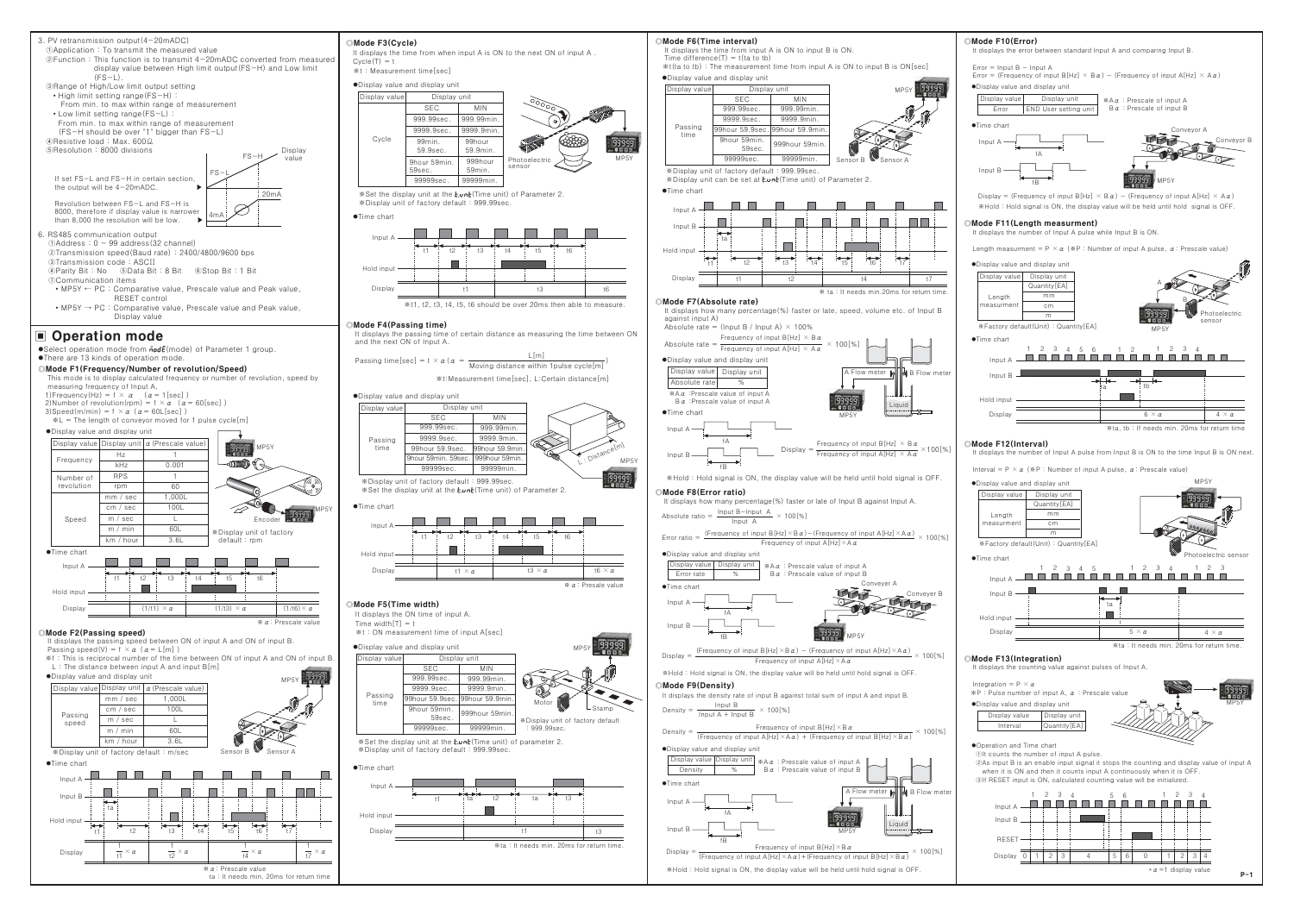

※ α: Prescale value

ta: It needs min. 20ms for return time



Mode F6(Time interval)



Interval =  $P \times \alpha$  ( $\Re P$ : Number of input A pulse,  $\alpha$ : Prescale value)



## Mode F13(Integration)

It displays the counting value against pulses of Input A.

Integration =  $P \times q$  $\mathbb{R}$ P : Pulse number of input A.  $\alpha$  : Prescale value . Display value and display unit Display value | Display uni Interval **Ouantity FA** 

•Operation and Time chart

Olt counts the number of input A pulse.

(2) As input B is an enable input signal it stops the counting and display value of input A when it is ON and then it counts input A continuously when it is OFF 3If RESET input is ON, calculated counting value will be initialized.

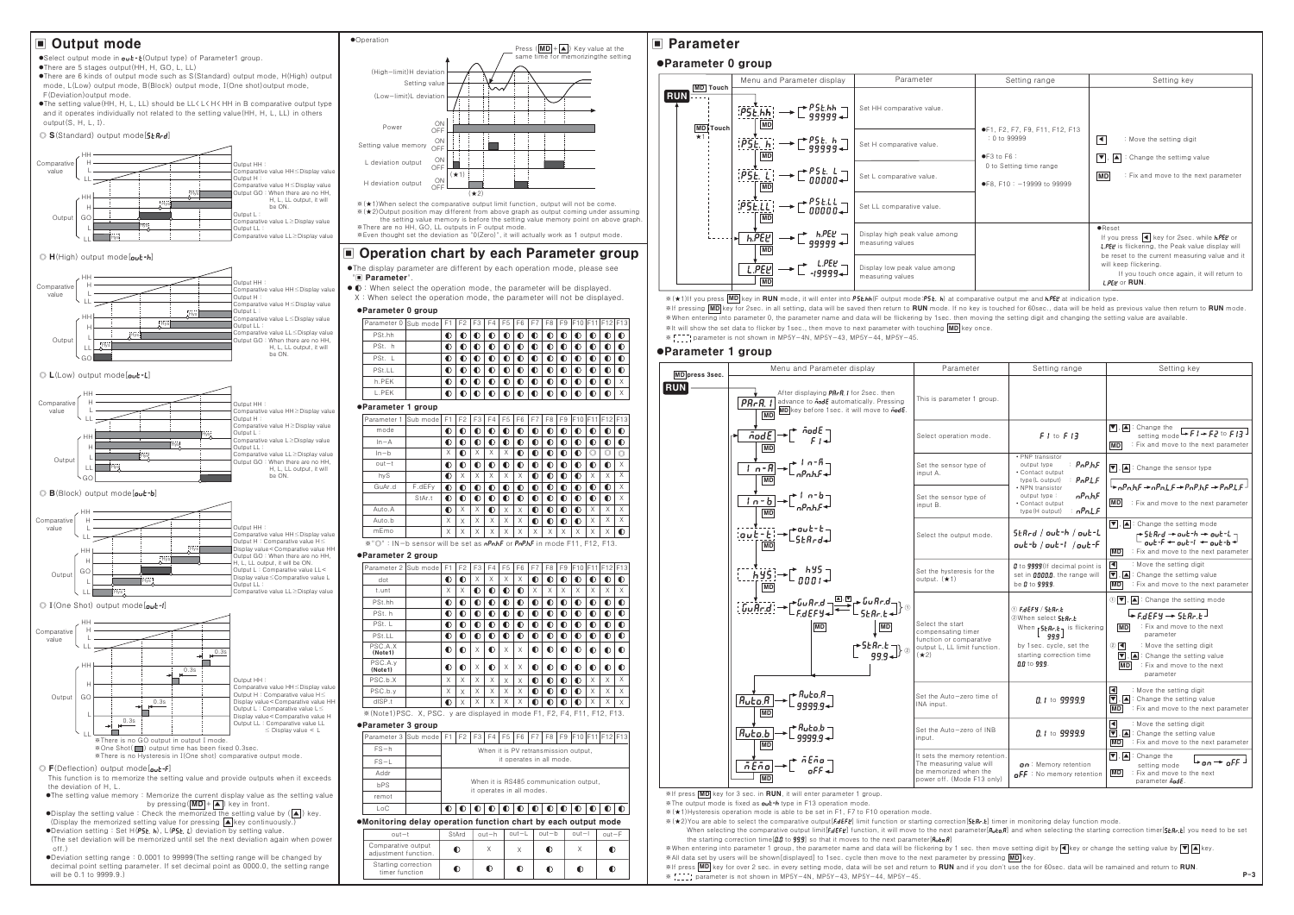# Output mode

●Select output mode in **aut-t**(Output type) of Parameter1 group.

●There are 5 stages output (HH, H, GO, L, LL) •There are 6 kinds of output mode such as S(Standard) output mode, H(High) output mode, L(Low) output mode, B(Block) output mode, I(One shot) output mode, F(Deviation) output mode.

•The setting value (HH, H, L, LL) should be LL < L < H < HH in B comparative output type and it operates individually not related to the setting value (HH, H, L, LL) in others output(S, H, L, I).



**O** H(High) output mode [aut-h]



## $\odot$  L(Low) output mode[out-L]



#### B(Block) output mode[out-b]





- (Display the memorized setting value for pressing △key continuously.) •Display the momentum state of  $H(P5E, h)$ ,  $L(P5E, L)$  deviation by setting value.
- The set deviation will be memorized until set the next deviation again when nower  $\bigcap_{i=1}^{n}$
- ●Deviation setting range: 0.0001 to 99999(The setting range will be changed by decimal point setting parameter. If set decimal point as 0000.0, the setting range will be 0.1 to 9999.9.)



 $*(\star 2)$  Output position may different from above graph as output coming under assuming the setting value memory is before the setting value memory point on above graph \*There are no HH, GO, LL outputs in F output mode. Even thought set the deviation as "0(Zero)", it will actually work as 1 output mode.

# ■ Operation chart by each Parameter group

- ●The display parameter are different by each operation mode, please see "Il Parameter".
- $\bullet$   $\bullet$  : When select the operation mode, the parameter will be displayed X: When select the operation mode, the parameter will not be displayed.

#### **eParameter 0 group**

| Parameter 0 Sub mode F1 |                                         | F2 F3 |              | F4 I      | F <sub>5</sub> | F <sub>6</sub> | F7        | F8        |           |   |           |           | F9 F10 F11 F12 F13 |
|-------------------------|-----------------------------------------|-------|--------------|-----------|----------------|----------------|-----------|-----------|-----------|---|-----------|-----------|--------------------|
| PSt.hh                  | $\bullet$                               |       | ◐            | $\bullet$ | $\bullet$      | $\bullet$      | $\bullet$ | $\bullet$ | ◐         | ◐ |           |           | $\bullet$          |
| PSt. h                  | $\bullet$                               |       | $\bullet$    | ◐         | ◐              | ◐              | $\bullet$ | ◐         |           |   |           |           | $\bullet$          |
| PSt. L                  | $\bullet$                               |       | $_{\bullet}$ | $\bullet$ | $\bullet$      | $\bullet$      | $\bullet$ | ◐         | $\bullet$ | ◐ | ◐         |           | $\bullet$          |
| PSt.LL                  |                                         |       | O            | ◐         | ◐              | $\bullet$      | $\bullet$ | $\bullet$ |           |   | $\bullet$ |           | $\bullet$          |
| h.PEK                   | $\bullet$                               |       | $\bullet$    | O         | ◐              | $\bullet$      | $\bullet$ | O         |           | ◐ | $\bullet$ | $\bullet$ | X                  |
| L.PEK                   | $_{\tiny \textcircled{\scriptsize{1}}}$ |       |              | $\bullet$ |                |                | $\bullet$ | Đ         |           |   | $\bullet$ | $\bullet$ | X                  |

#### **eParameter 1 group**

| Parameter 1 | Sub mode | F1        | F <sub>2</sub> | F <sub>3</sub> | F4        | F <sub>5</sub> | F <sub>6</sub> | F7 | F <sub>8</sub> | F <sub>9</sub> | F10       | F11 | F12            | F <sub>13</sub> |
|-------------|----------|-----------|----------------|----------------|-----------|----------------|----------------|----|----------------|----------------|-----------|-----|----------------|-----------------|
| mode        |          | O         | O              | O              | ◐         | ◐              | ◐              | ◐  | $\bullet$      | $\bullet$      | O         | D   | D              | $\bullet$       |
| $In-A$      |          | $\bullet$ | $\bullet$      | ◐              | $\bullet$ | $\bullet$      | $\bullet$      | O  | $\bullet$      | $\bullet$      | $\bullet$ | D   | D              | $\bullet$       |
| $ln-b$      |          | X         | $\bullet$      | X              | X         | X              | $\bullet$      | O  | $\bullet$      | $\bullet$      | $\bullet$ | O   | $\circledcirc$ | $\circledcirc$  |
| $out-t$     |          | $\bullet$ | O              | ◐              | $\bullet$ | $\bullet$      | $\bullet$      | D  | $\bullet$      | $\bullet$      | $\bullet$ | D   | O              | X               |
| hyS         |          | $\bullet$ | X              | X              | X         | X              | X              | O  | ◐              | $\bullet$      | ◐         | X   | X              | X               |
| GuAr.d      | F.dEFy   | $\bullet$ | $\bullet$      | $\bullet$      | $\bullet$ | $\bullet$      | $\bullet$      | O  | $\bullet$      | Đ              | ◐         | D   | D              | X               |
|             | StAr.t   | O         | $\bullet$      | ◐              | $\bullet$ | $\bullet$      | $\bullet$      | D  | $\bullet$      | $\bullet$      | $\bullet$ | D   | D              | X               |
| Auto.A      |          | $\bullet$ | X              | X              | $\bullet$ | X              | X              | ◐  | $\bullet$      | $\bullet$      | $\bullet$ | X   | X              | X               |
| Auto.b      |          | X         | X              | X              | X         | X              | X              | O  | $\bullet$      | C              | ∩         | X   | X              | X               |
| mEmo        |          | X         | X              | X              | X         | X              | X              | X  | X              | Χ              | X         | X   | Χ              | ∩               |
|             |          |           |                |                |           |                |                |    |                |                |           |     |                |                 |

 $\overline{\ast}$  " $\odot$ " : IN-b sensor will be set as  $n$ PnhF or PnPhF in mode F11, F12, F13,

#### ·Parameter 2 group

| Parameter 2        | Sub mode | F1          | F <sub>2</sub> | F <sub>3</sub> | F4        | F <sub>5</sub> | F <sub>6</sub> | F7        | F <sub>8</sub> | F9        | F10       | F11       | F12       | F13       |
|--------------------|----------|-------------|----------------|----------------|-----------|----------------|----------------|-----------|----------------|-----------|-----------|-----------|-----------|-----------|
| dot                |          | $\bullet$   | $\bullet$      | X              | X         | X              | X              | $\bullet$ | D              | $\bullet$ | $\bullet$ | $\bullet$ | $\bullet$ | $\bullet$ |
| t.unt              |          | X           | X              | $\bullet$      | $\bullet$ | Ô              | $\bullet$      | X         | X              | X         | X         | X         | X         | X         |
| PSt.hh             |          | $\mathbf 0$ | ◐              | O              | D         | $\bullet$      | $\bullet$      | $\bullet$ | O              | $\bullet$ | $\bullet$ | $\bullet$ | $\bullet$ | $\bullet$ |
| PSt. h             |          | $\mathbf C$ | $\bullet$      | $\bullet$      | O         | $\bullet$      | $\bullet$      | $\bullet$ | Đ              | $\bullet$ | $\bullet$ | $\bullet$ | $\bullet$ | $\bullet$ |
| PSt. L             |          | $\bullet$   | O              | $\bullet$      | O         | $\bullet$      | $\bullet$      | $\bullet$ | O              | $\bullet$ | $\bullet$ | $\bullet$ | $\bullet$ | $\bullet$ |
| PSt.LL             |          | $\bullet$   | $\bullet$      | $\bullet$      | D         | $\bullet$      | $\bullet$      | $\bullet$ | D              | $\bullet$ | $\bullet$ | $\bullet$ | $\bullet$ | $\bullet$ |
| PSC.A.X<br>(Note1) |          | $\bullet$   | O              | X              | $\bullet$ | X              | X              | $\bullet$ | $\bullet$      | $\bullet$ | $\bullet$ | $\bullet$ | $\bullet$ | $\bullet$ |
| PSC.A.y<br>(Note1) |          | $\mathbf 0$ | $\bullet$      | X              | $\bullet$ | X              | X              | $\bullet$ | $\bullet$      | $\bullet$ | $\bullet$ | $\bullet$ | $\bullet$ | $\bullet$ |
| PSC.b.X            |          | X           | X              | X              | X         | X              | X              | $\bullet$ | O              | $\bullet$ | $\bullet$ | X         | X         | X         |
| PSC.b.y            |          | X           | X              | X              | X         | X              | X              | $\bullet$ | O              | $\bullet$ | $\bullet$ | X         | X         | X         |
| dISP.t             |          | $\bullet$   | X              | X              | X         | X              | X              | $\bullet$ | D              | $\bullet$ | $\bullet$ | X         | X         | X         |

**a** Parameter 3 group

| Parameter 3 Sub model                                          | F1 | F <sub>2</sub> | F <sub>3</sub> | F4      | F <sub>5</sub> | F <sub>6</sub>            | F7        | F <sub>8</sub> | F9        | F10 F11 F12 F13                        |           |           |  |
|----------------------------------------------------------------|----|----------------|----------------|---------|----------------|---------------------------|-----------|----------------|-----------|----------------------------------------|-----------|-----------|--|
| $FS - h$                                                       |    |                |                |         |                |                           |           |                |           | When it is PV retransmission output.   |           |           |  |
| $FS-L$                                                         |    |                |                |         |                | it operates in all mode.  |           |                |           |                                        |           |           |  |
| Addr                                                           |    |                |                |         |                |                           |           |                |           |                                        |           |           |  |
| <b>bPS</b>                                                     |    |                |                |         |                | it operates in all modes. |           |                |           | When it is RS485 communication output. |           |           |  |
| remot                                                          |    |                |                |         |                |                           |           |                |           |                                        |           |           |  |
| LoC                                                            | O  | D              | D              | D       | D              | D                         | $\bullet$ | O              | $\bullet$ | $\bullet$                              | $\bullet$ | $\bullet$ |  |
| •Monitoring delay operation function chart by each output mode |    |                |                |         |                |                           |           |                |           |                                        |           |           |  |
| $out-t$                                                        |    | StArd          |                | $out-h$ |                | $-1$                      |           | $out-b$        |           | $out-1$                                |           | $out-F$   |  |
| Comparative output<br>adjustment function.                     |    | O              |                | X       |                | X                         |           | O              |           | X                                      |           |           |  |
| Starting correction<br>timer function                          |    |                |                |         |                | ∩                         |           |                |           | O                                      |           |           |  |

## **■ Parameter**

## ●Parameter 0 group



※ (★1) If you press MD key in RUN mode, it will enter into P5L.hh (F output mode:P5L. h) at comparative output me and h.PEL at indication type. \* If pressing MD key for 2sec. in all setting, data will be saved then return to RUN mode. If no key is touched for 60sec., data will be held as previous value then return to RUN mode. \*When entering into parameter 0, the parameter name and data will be flickering by 1sec. then moving the setting digit and changing the setting value are available. \*It will show the set data to flicker by 1sec., then move to next parameter with touching MD key once.

\* [[[[]] parameter is not shown in MP5Y-4N, MP5Y-43, MP5Y-44, MP5Y-45.

# ●Parameter 1 group



\*If press **MD** key for 3 sec. in **RUN**, it will enter parameter 1 group.

- \*The output mode is fixed as **out-h** type in F13 operation mode
- \* (★1) Hysteresis operation mode is able to be set in F1. F7 to F10 operation mode.
- \* (★2) You are able to select the comparative output [FdEFE] limit function or starting correction [5ERr.E] timer in monitoring delay function mode. y volume selecting the comparative output limit[**FdEFU**] function, it will move to the next parameter[**Rucall**] and when selecting the starting correction timer[**SER-L**] you need to be set the starting correction time  $[0.0 \t{99.9}]$  so that it moves to the next parameter  $[0.0 \t{10.0}]$

\*When entering into parameter 1 group, the parameter name and data will be flickering by 1 sec. then move setting digit by (excepted by change the setting value by (vertex) \*All data set by users will be shown[displayed] to 1sec. cycle then move to the next parameter by pressing MD key. E The press **EXAMPLE SECTED FOR SECT AND SET AS A SET AND SET AND SET AND SET AND SET AND SET AND SET AND SET A**<br>\* F The parameter is not shown in MP5Y-4N. MP5Y-43. MP5Y-44. MP5Y-45.

| Setting range                                                                                                                                                     | Setting key                                                                                                                                                                                                                                                                                    |
|-------------------------------------------------------------------------------------------------------------------------------------------------------------------|------------------------------------------------------------------------------------------------------------------------------------------------------------------------------------------------------------------------------------------------------------------------------------------------|
| ●F1, F2, F7, F9, F11, F12, F13<br>$: 0$ to 99999<br>$\bullet$ F <sub>3</sub> to F <sub>6</sub> :<br>0 to Setting time range<br>$\bullet$ F8, F10: -19999 to 99999 | : Move the setting digit<br>к<br>$\blacktriangle$ : Change the settimg value<br>$ \mathbf{v} $ .<br>: Fix and move to the next parameter<br><b>MD</b>                                                                                                                                          |
|                                                                                                                                                                   | $\bullet$ Reset<br>If you press $\left  \right $ key for 2sec. while <b>hPEY</b> or<br><b>L.PEY</b> is flickering, the Peak value display will<br>be reset to the current measuring value and it<br>will keep flickering.<br>If you touch once again, it will return to<br><b>LPEP or RUN.</b> |

|                                         | Setting range                                                                                                                                                                 | Setting key                                                                                                                                                                                                                                                                                                                                                     |
|-----------------------------------------|-------------------------------------------------------------------------------------------------------------------------------------------------------------------------------|-----------------------------------------------------------------------------------------------------------------------------------------------------------------------------------------------------------------------------------------------------------------------------------------------------------------------------------------------------------------|
| group.                                  |                                                                                                                                                                               |                                                                                                                                                                                                                                                                                                                                                                 |
| ode.                                    | $F I$ to $F I$ $\overline{J}$                                                                                                                                                 | $\boxed{\blacksquare}$ : Change the<br>$-F1-F2$ to $F13$<br>setting mode<br><b>MD</b><br>: Fix and move to the next parameter                                                                                                                                                                                                                                   |
| оf                                      | • PNP transistor<br>: Pop.h.F<br>output type<br>• Contact output<br>$P_0PLF$<br>type (L output)                                                                               | $\blacktriangleright$ , $\blacktriangle$ : Change the sensor type                                                                                                                                                                                                                                                                                               |
| of                                      | • NPN transistor<br><b>nPn.hF</b><br>output type:<br>• Contact output<br>nPnLF<br>type (H output)                                                                             | $\rightarrow$ opabE $\rightarrow$ opal E $\rightarrow$ PoppE $\rightarrow$ PopLE<br><b>MD</b><br>: Fix and move to the next parameter                                                                                                                                                                                                                           |
| ode.                                    | SEArd / out-h / out-L<br>out-b / out-l / out-F                                                                                                                                | $\blacktriangledown$ , $\blacktriangle$ : Change the setting mode<br>$\begin{array}{l} \uparrow \mathsf{St} \mathsf{Rrd} \to \mathsf{out} \mathsf{ch} \to \mathsf{out} \mathsf{ch} \\ \hline \mathsf{out} \mathsf{ef} \leftarrow \mathsf{out} \mathsf{ch} \leftarrow \mathsf{out} \mathsf{eb} \end{array}$<br><b>MD</b><br>: Fix and move to the next parameter |
| or the                                  | <i>D</i> to 9999(If decimal point is<br>set in <i>0000.0</i> , the range will<br>be 0 to 999.9.                                                                               | ι∢ι<br>: Move the setting digit<br>$\blacktriangledown$ , $\blacktriangle$ : Change the settimg value<br>MD<br>: Fix and move to the next parameter                                                                                                                                                                                                             |
| ative<br>nction.                        | $\oplus$ F.dEFY / SEAr.E<br>②When select <b>5ŁAr.Ł</b><br>When <b>5tRr.t</b> , is flickering<br>99.9 J<br>by 1sec. cycle, set the<br>starting correction time<br>0.0 to 99.9. | $\mathbb{Q}[\nabla]$ , $\blacktriangle$ : Change the setting mode<br>$F \rightarrow F dEFY \rightarrow 5EBr.E$<br>: Fix and move to the next<br>MD.<br>parameter<br>② $\boxed{•}$<br>: Move the setting digit<br>$\boxed{\blacktriangledown}$ , $\boxed{\blacktriangle}$ : Change the setting value<br><b>MD</b><br>: Fix and move to the next<br>parameter     |
| ime of                                  | 0.1 to 9999.9                                                                                                                                                                 | l◀l<br>: Move the setting digit<br>$\vert \blacktriangledown \vert$ , $\vert \blacktriangle \vert$ : Change the setting value<br><b>MD</b><br>: Fix and move to the next parameter                                                                                                                                                                              |
| of INB                                  | 0.1 to 9999.9                                                                                                                                                                 | l⊲l<br>: Move the setting digit<br>$\blacktriangledown$ , $\blacktriangle$ : Change the setting value<br>MD<br>: Fix and move to the next parameter                                                                                                                                                                                                             |
| retention.<br>e will<br>the<br>13 only) | on: Memory retention<br>$\mathsf{aFF}$ : No memory retention                                                                                                                  | $\blacktriangledown$ , $\blacktriangle$ : Change the<br>$\vdash_{\mathsf{on}} \to {}_{\mathsf{off}} \bot$<br>setting mode<br><b>MD</b><br>: Fix and move to the next<br>parameter <b>nodE</b> .                                                                                                                                                                 |